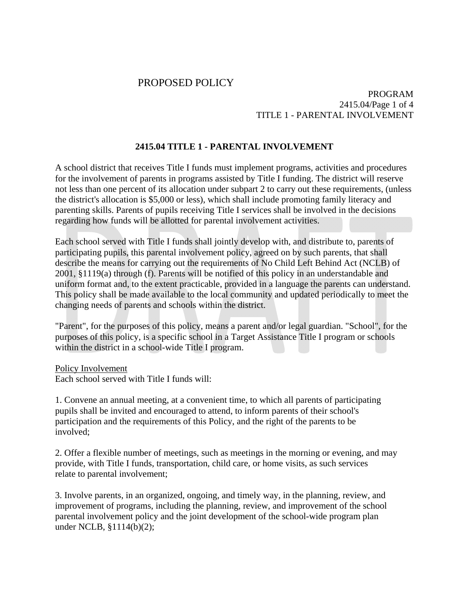# PROPOSED POLICY

## PROGRAM 2415.04/Page 1 of 4 TITLE 1 - PARENTAL INVOLVEMENT

# **2415.04 TITLE 1 - PARENTAL INVOLVEMENT**

A school district that receives Title I funds must implement programs, activities and procedures for the involvement of parents in programs assisted by Title I funding. The district will reserve not less than one percent of its allocation under subpart 2 to carry out these requirements, (unless the district's allocation is \$5,000 or less), which shall include promoting family literacy and parenting skills. Parents of pupils receiving Title I services shall be involved in the decisions regarding how funds will be allotted for parental involvement activities.

Each school served with Title I funds shall jointly develop with, and distribute to, parents of participating pupils, this parental involvement policy, agreed on by such parents, that shall describe the means for carrying out the requirements of No Child Left Behind Act (NCLB) of 2001, §1119(a) through (f). Parents will be notified of this policy in an understandable and uniform format and, to the extent practicable, provided in a language the parents can understand. This policy shall be made available to the local community and updated periodically to meet the changing needs of parents and schools within the district.

"Parent", for the purposes of this policy, means a parent and/or legal guardian. "School", for the purposes of this policy, is a specific school in a Target Assistance Title I program or schools within the district in a school-wide Title I program.

Policy Involvement

Each school served with Title I funds will:

1. Convene an annual meeting, at a convenient time, to which all parents of participating pupils shall be invited and encouraged to attend, to inform parents of their school's participation and the requirements of this Policy, and the right of the parents to be involved;

2. Offer a flexible number of meetings, such as meetings in the morning or evening, and may provide, with Title I funds, transportation, child care, or home visits, as such services relate to parental involvement;

3. Involve parents, in an organized, ongoing, and timely way, in the planning, review, and improvement of programs, including the planning, review, and improvement of the school parental involvement policy and the joint development of the school-wide program plan under NCLB, §1114(b)(2);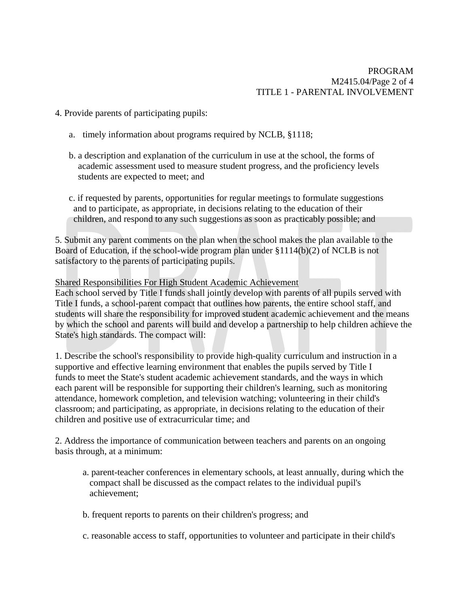# PROGRAM M2415.04/Page 2 of 4 TITLE 1 - PARENTAL INVOLVEMENT

- 4. Provide parents of participating pupils:
	- a. timely information about programs required by NCLB, §1118;
	- b. a description and explanation of the curriculum in use at the school, the forms of academic assessment used to measure student progress, and the proficiency levels students are expected to meet; and
	- c. if requested by parents, opportunities for regular meetings to formulate suggestions and to participate, as appropriate, in decisions relating to the education of their children, and respond to any such suggestions as soon as practicably possible; and

5. Submit any parent comments on the plan when the school makes the plan available to the Board of Education, if the school-wide program plan under §1114(b)(2) of NCLB is not satisfactory to the parents of participating pupils.

#### Shared Responsibilities For High Student Academic Achievement

Each school served by Title I funds shall jointly develop with parents of all pupils served with Title I funds, a school-parent compact that outlines how parents, the entire school staff, and students will share the responsibility for improved student academic achievement and the means by which the school and parents will build and develop a partnership to help children achieve the State's high standards. The compact will:

1. Describe the school's responsibility to provide high-quality curriculum and instruction in a supportive and effective learning environment that enables the pupils served by Title I funds to meet the State's student academic achievement standards, and the ways in which each parent will be responsible for supporting their children's learning, such as monitoring attendance, homework completion, and television watching; volunteering in their child's classroom; and participating, as appropriate, in decisions relating to the education of their children and positive use of extracurricular time; and

2. Address the importance of communication between teachers and parents on an ongoing basis through, at a minimum:

- a. parent-teacher conferences in elementary schools, at least annually, during which the compact shall be discussed as the compact relates to the individual pupil's achievement;
- b. frequent reports to parents on their children's progress; and
- c. reasonable access to staff, opportunities to volunteer and participate in their child's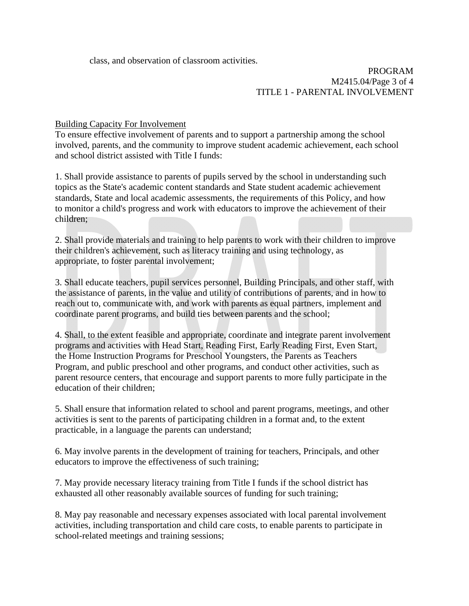class, and observation of classroom activities.

## PROGRAM M2415.04/Page 3 of 4 TITLE 1 - PARENTAL INVOLVEMENT

Building Capacity For Involvement

To ensure effective involvement of parents and to support a partnership among the school involved, parents, and the community to improve student academic achievement, each school and school district assisted with Title I funds:

1. Shall provide assistance to parents of pupils served by the school in understanding such topics as the State's academic content standards and State student academic achievement standards, State and local academic assessments, the requirements of this Policy, and how to monitor a child's progress and work with educators to improve the achievement of their children;

2. Shall provide materials and training to help parents to work with their children to improve their children's achievement, such as literacy training and using technology, as appropriate, to foster parental involvement;

3. Shall educate teachers, pupil services personnel, Building Principals, and other staff, with the assistance of parents, in the value and utility of contributions of parents, and in how to reach out to, communicate with, and work with parents as equal partners, implement and coordinate parent programs, and build ties between parents and the school;

4. Shall, to the extent feasible and appropriate, coordinate and integrate parent involvement programs and activities with Head Start, Reading First, Early Reading First, Even Start, the Home Instruction Programs for Preschool Youngsters, the Parents as Teachers Program, and public preschool and other programs, and conduct other activities, such as parent resource centers, that encourage and support parents to more fully participate in the education of their children;

5. Shall ensure that information related to school and parent programs, meetings, and other activities is sent to the parents of participating children in a format and, to the extent practicable, in a language the parents can understand;

6. May involve parents in the development of training for teachers, Principals, and other educators to improve the effectiveness of such training;

7. May provide necessary literacy training from Title I funds if the school district has exhausted all other reasonably available sources of funding for such training;

8. May pay reasonable and necessary expenses associated with local parental involvement activities, including transportation and child care costs, to enable parents to participate in school-related meetings and training sessions;